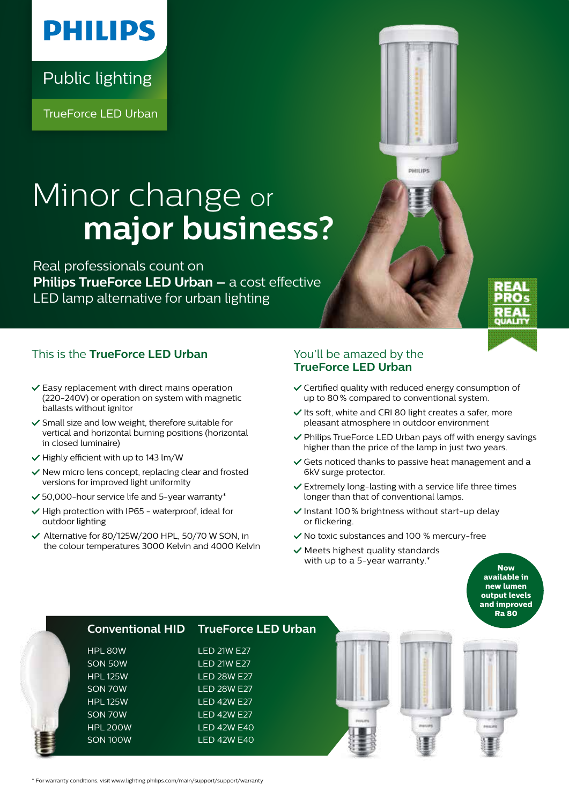## **PHILIPS**

Public lighting

TrueForce LED Urban

# Minor change or  **major business?**

Real professionals count on **Philips TrueForce LED Urban –** a cost effective LED lamp alternative for urban lighting

### This is the **TrueForce LED Urban** You'll be amazed by the

- $\checkmark$  Easy replacement with direct mains operation (220-240V) or operation on system with magnetic ballasts without ignitor
- $\checkmark$  Small size and low weight, therefore suitable for vertical and horizontal burning positions (horizontal in closed luminaire)
- $\vee$  Highly efficient with up to 143 lm/W
- $\checkmark$  New micro lens concept, replacing clear and frosted versions for improved light uniformity
- $\checkmark$  50,000-hour service life and 5-year warranty\*
- $\vee$  High protection with IP65 waterproof, ideal for outdoor lighting
- Alternative for 80/125W/200 HPL, 50/70 W SON, in the colour temperatures 3000 Kelvin and 4000 Kelvin

## **TrueForce LED Urban**

Certified quality with reduced energy consumption of up to 80% compared to conventional system.

**DMITIDE** 

- $\checkmark$  Its soft, white and CRI 80 light creates a safer, more pleasant atmosphere in outdoor environment
- $\vee$  Philips TrueForce LED Urban pays off with energy savings higher than the price of the lamp in just two years.
- $\checkmark$  Gets noticed thanks to passive heat management and a 6kV surge protector.
- $\checkmark$  Extremely long-lasting with a service life three times longer than that of conventional lamps.
- $\checkmark$  Instant 100% brightness without start-up delay or flickering.
- $\checkmark$  No toxic substances and 100 % mercury-free
- $\checkmark$  Meets highest quality standards with up to a 5-year warranty.<sup>\*</sup>

**Now available in new lumen output levels and improved Ra 80**

|                 | <b>Conventional HID TrueForce LED Urban</b> |  |
|-----------------|---------------------------------------------|--|
| HPL 80W         | <b>LED 21W E27</b>                          |  |
| SON 50W         | <b>LED 21W E27</b>                          |  |
| <b>HPL 125W</b> | <b>LED 28W E27</b>                          |  |
| SON 70W         | <b>LED 28W E27</b>                          |  |
| <b>HPL 125W</b> | <b>LED 42W E27</b>                          |  |
| <b>SON 70W</b>  | <b>LED 42W E27</b>                          |  |
| HPL 200W        | <b>LED 42W E40</b>                          |  |
| <b>SON 100W</b> | <b>LED 42W E40</b>                          |  |
|                 |                                             |  |

\* For warranty conditions, visit www.lighting.philips.com/main/support/support/warranty